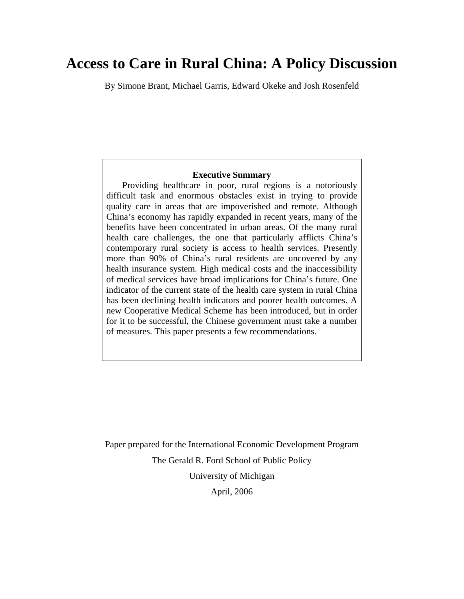# **Access to Care in Rural China: A Policy Discussion**

By Simone Brant, Michael Garris, Edward Okeke and Josh Rosenfeld

### **Executive Summary**

 Providing healthcare in poor, rural regions is a notoriously difficult task and enormous obstacles exist in trying to provide quality care in areas that are impoverished and remote. Although China's economy has rapidly expanded in recent years, many of the benefits have been concentrated in urban areas. Of the many rural health care challenges, the one that particularly afflicts China's contemporary rural society is access to health services. Presently more than 90% of China's rural residents are uncovered by any health insurance system. High medical costs and the inaccessibility of medical services have broad implications for China's future. One indicator of the current state of the health care system in rural China has been declining health indicators and poorer health outcomes. A new Cooperative Medical Scheme has been introduced, but in order for it to be successful, the Chinese government must take a number of measures. This paper presents a few recommendations.

Paper prepared for the International Economic Development Program The Gerald R. Ford School of Public Policy University of Michigan April, 2006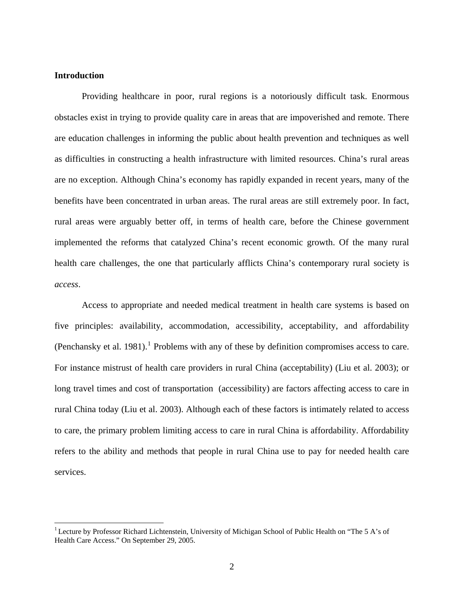# **Introduction**

 $\overline{a}$ 

Providing healthcare in poor, rural regions is a notoriously difficult task. Enormous obstacles exist in trying to provide quality care in areas that are impoverished and remote. There are education challenges in informing the public about health prevention and techniques as well as difficulties in constructing a health infrastructure with limited resources. China's rural areas are no exception. Although China's economy has rapidly expanded in recent years, many of the benefits have been concentrated in urban areas. The rural areas are still extremely poor. In fact, rural areas were arguably better off, in terms of health care, before the Chinese government implemented the reforms that catalyzed China's recent economic growth. Of the many rural health care challenges, the one that particularly afflicts China's contemporary rural society is *access*.

Access to appropriate and needed medical treatment in health care systems is based on five principles: availability, accommodation, accessibility, acceptability, and affordability (Penchansky et al. [1](#page-1-0)981).<sup>1</sup> Problems with any of these by definition compromises access to care. For instance mistrust of health care providers in rural China (acceptability) (Liu et al. 2003); or long travel times and cost of transportation (accessibility) are factors affecting access to care in rural China today (Liu et al. 2003). Although each of these factors is intimately related to access to care, the primary problem limiting access to care in rural China is affordability. Affordability refers to the ability and methods that people in rural China use to pay for needed health care services.

<span id="page-1-0"></span><sup>&</sup>lt;sup>1</sup> Lecture by Professor Richard Lichtenstein, University of Michigan School of Public Health on "The 5 A's of Health Care Access." On September 29, 2005.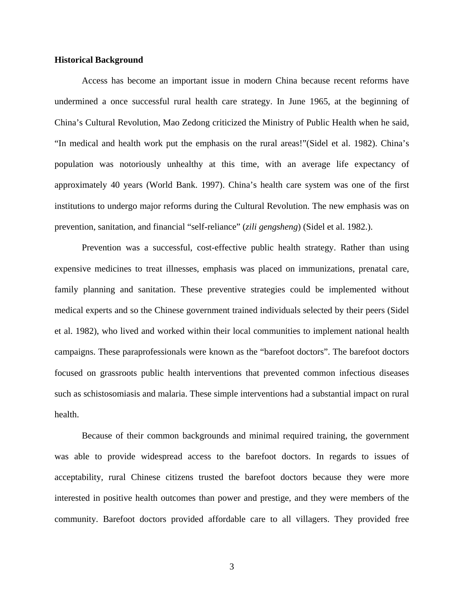# **Historical Background**

Access has become an important issue in modern China because recent reforms have undermined a once successful rural health care strategy. In June 1965, at the beginning of China's Cultural Revolution, Mao Zedong criticized the Ministry of Public Health when he said, "In medical and health work put the emphasis on the rural areas!"(Sidel et al. 1982). China's population was notoriously unhealthy at this time, with an average life expectancy of approximately 40 years (World Bank. 1997). China's health care system was one of the first institutions to undergo major reforms during the Cultural Revolution. The new emphasis was on prevention, sanitation, and financial "self-reliance" (*zili gengsheng*) (Sidel et al. 1982.).

Prevention was a successful, cost-effective public health strategy. Rather than using expensive medicines to treat illnesses, emphasis was placed on immunizations, prenatal care, family planning and sanitation. These preventive strategies could be implemented without medical experts and so the Chinese government trained individuals selected by their peers (Sidel et al. 1982), who lived and worked within their local communities to implement national health campaigns. These paraprofessionals were known as the "barefoot doctors". The barefoot doctors focused on grassroots public health interventions that prevented common infectious diseases such as schistosomiasis and malaria. These simple interventions had a substantial impact on rural health.

Because of their common backgrounds and minimal required training, the government was able to provide widespread access to the barefoot doctors. In regards to issues of acceptability, rural Chinese citizens trusted the barefoot doctors because they were more interested in positive health outcomes than power and prestige, and they were members of the community. Barefoot doctors provided affordable care to all villagers. They provided free

3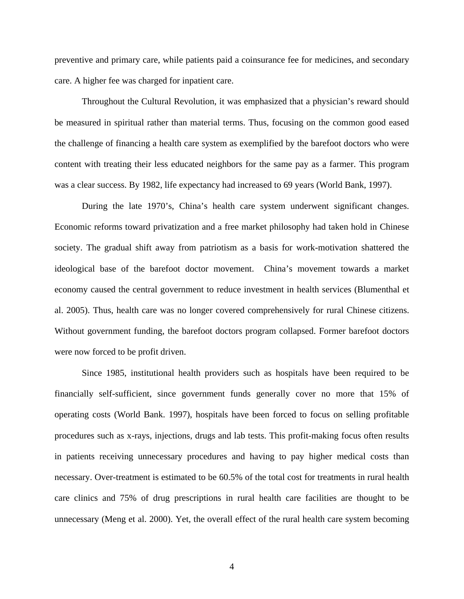preventive and primary care, while patients paid a coinsurance fee for medicines, and secondary care. A higher fee was charged for inpatient care.

Throughout the Cultural Revolution, it was emphasized that a physician's reward should be measured in spiritual rather than material terms. Thus, focusing on the common good eased the challenge of financing a health care system as exemplified by the barefoot doctors who were content with treating their less educated neighbors for the same pay as a farmer. This program was a clear success. By 1982, life expectancy had increased to 69 years (World Bank, 1997).

During the late 1970's, China's health care system underwent significant changes. Economic reforms toward privatization and a free market philosophy had taken hold in Chinese society. The gradual shift away from patriotism as a basis for work-motivation shattered the ideological base of the barefoot doctor movement. China's movement towards a market economy caused the central government to reduce investment in health services (Blumenthal et al. 2005). Thus, health care was no longer covered comprehensively for rural Chinese citizens. Without government funding, the barefoot doctors program collapsed. Former barefoot doctors were now forced to be profit driven.

Since 1985, institutional health providers such as hospitals have been required to be financially self-sufficient, since government funds generally cover no more that 15% of operating costs (World Bank. 1997), hospitals have been forced to focus on selling profitable procedures such as x-rays, injections, drugs and lab tests. This profit-making focus often results in patients receiving unnecessary procedures and having to pay higher medical costs than necessary. Over-treatment is estimated to be 60.5% of the total cost for treatments in rural health care clinics and 75% of drug prescriptions in rural health care facilities are thought to be unnecessary (Meng et al. 2000). Yet, the overall effect of the rural health care system becoming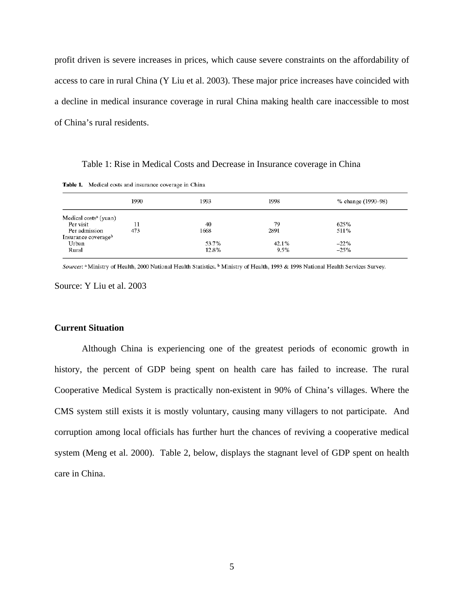profit driven is severe increases in prices, which cause severe constraints on the affordability of access to care in rural China (Y Liu et al. 2003). These major price increases have coincided with a decline in medical insurance coverage in rural China making health care inaccessible to most of China's rural residents.

Table 1: Rise in Medical Costs and Decrease in Insurance coverage in China

Table 1. Medical costs and insurance coverage in China

|                                                                    | 1990 | 1993                   | 1998                  | % change (1990–98)        |
|--------------------------------------------------------------------|------|------------------------|-----------------------|---------------------------|
| Medical costs <sup>a</sup> (yuan)<br>Per visit                     | 11   | 40                     | 79                    | 625%                      |
| Per admission<br>Insurance coverage <sup>b</sup><br>Urban<br>Rural | 473  | 1668<br>53.7%<br>12.8% | 2891<br>42.1%<br>9.5% | 511%<br>$-22\%$<br>$-25%$ |

Sources: <sup>a</sup> Ministry of Health, 2000 National Health Statistics. <sup>b</sup> Ministry of Health, 1993 & 1998 National Health Services Survey.

Source: Y Liu et al. 2003

# **Current Situation**

Although China is experiencing one of the greatest periods of economic growth in history, the percent of GDP being spent on health care has failed to increase. The rural Cooperative Medical System is practically non-existent in 90% of China's villages. Where the CMS system still exists it is mostly voluntary, causing many villagers to not participate. And corruption among local officials has further hurt the chances of reviving a cooperative medical system (Meng et al. 2000). Table 2, below, displays the stagnant level of GDP spent on health care in China.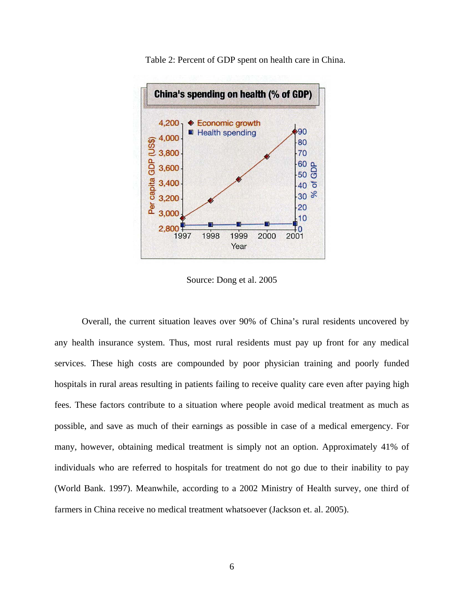

Table 2: Percent of GDP spent on health care in China.

Source: Dong et al. 2005

Overall, the current situation leaves over 90% of China's rural residents uncovered by any health insurance system. Thus, most rural residents must pay up front for any medical services. These high costs are compounded by poor physician training and poorly funded hospitals in rural areas resulting in patients failing to receive quality care even after paying high fees. These factors contribute to a situation where people avoid medical treatment as much as possible, and save as much of their earnings as possible in case of a medical emergency. For many, however, obtaining medical treatment is simply not an option. Approximately 41% of individuals who are referred to hospitals for treatment do not go due to their inability to pay (World Bank. 1997). Meanwhile, according to a 2002 Ministry of Health survey, one third of farmers in China receive no medical treatment whatsoever (Jackson et. al. 2005).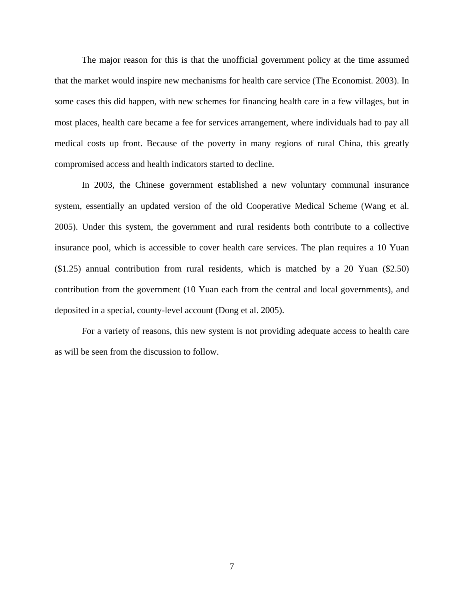The major reason for this is that the unofficial government policy at the time assumed that the market would inspire new mechanisms for health care service (The Economist. 2003). In some cases this did happen, with new schemes for financing health care in a few villages, but in most places, health care became a fee for services arrangement, where individuals had to pay all medical costs up front. Because of the poverty in many regions of rural China, this greatly compromised access and health indicators started to decline.

In 2003, the Chinese government established a new voluntary communal insurance system, essentially an updated version of the old Cooperative Medical Scheme (Wang et al. 2005). Under this system, the government and rural residents both contribute to a collective insurance pool, which is accessible to cover health care services. The plan requires a 10 Yuan (\$1.25) annual contribution from rural residents, which is matched by a 20 Yuan (\$2.50) contribution from the government (10 Yuan each from the central and local governments), and deposited in a special, county-level account (Dong et al. 2005).

For a variety of reasons, this new system is not providing adequate access to health care as will be seen from the discussion to follow.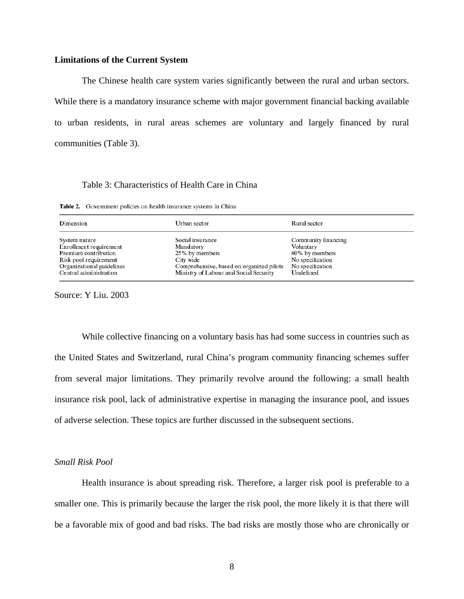#### **Limitations of the Current System**

The Chinese health care system varies significantly between the rural and urban sectors. While there is a mandatory insurance scheme with major government financial backing available to urban residents, in rural areas schemes are voluntary and largely financed by rural communities (Table 3).

#### Table 3: Characteristics of Health Care in China

Table 2. Government policies on health insurance systems in China

| Dimension                 | Urban sector                             | Rural sector        |
|---------------------------|------------------------------------------|---------------------|
| System nature             | Social insurance                         | Community financing |
| Enrollment requirement    | Mandatory                                | Voluntary           |
| Premium contribution      | 25% by members                           | 80% by members      |
| Risk pool requirement     | City wide                                | No specification    |
| Organizational guidelines | Comprehensive, based on organized pilots | No specification    |
| Central administration    | Ministry of Labour and Social Security   | Undefined           |

Source: Y Liu. 2003

While collective financing on a voluntary basis has had some success in countries such as the United States and Switzerland, rural China's program community financing schemes suffer from several major limitations. They primarily revolve around the following: a small health insurance risk pool, lack of administrative expertise in managing the insurance pool, and issues of adverse selection. These topics are further discussed in the subsequent sections.

# *Small Risk Pool*

Health insurance is about spreading risk. Therefore, a larger risk pool is preferable to a smaller one. This is primarily because the larger the risk pool, the more likely it is that there will be a favorable mix of good and bad risks. The bad risks are mostly those who are chronically or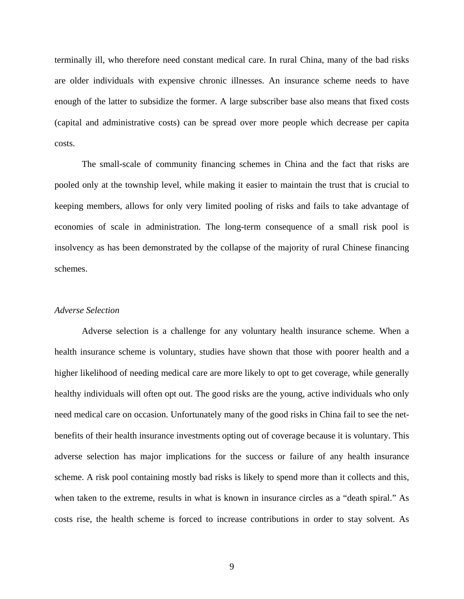terminally ill, who therefore need constant medical care. In rural China, many of the bad risks are older individuals with expensive chronic illnesses. An insurance scheme needs to have enough of the latter to subsidize the former. A large subscriber base also means that fixed costs (capital and administrative costs) can be spread over more people which decrease per capita costs.

The small-scale of community financing schemes in China and the fact that risks are pooled only at the township level, while making it easier to maintain the trust that is crucial to keeping members, allows for only very limited pooling of risks and fails to take advantage of economies of scale in administration. The long-term consequence of a small risk pool is insolvency as has been demonstrated by the collapse of the majority of rural Chinese financing schemes.

#### *Adverse Selection*

Adverse selection is a challenge for any voluntary health insurance scheme. When a health insurance scheme is voluntary, studies have shown that those with poorer health and a higher likelihood of needing medical care are more likely to opt to get coverage, while generally healthy individuals will often opt out. The good risks are the young, active individuals who only need medical care on occasion. Unfortunately many of the good risks in China fail to see the netbenefits of their health insurance investments opting out of coverage because it is voluntary. This adverse selection has major implications for the success or failure of any health insurance scheme. A risk pool containing mostly bad risks is likely to spend more than it collects and this, when taken to the extreme, results in what is known in insurance circles as a "death spiral." As costs rise, the health scheme is forced to increase contributions in order to stay solvent. As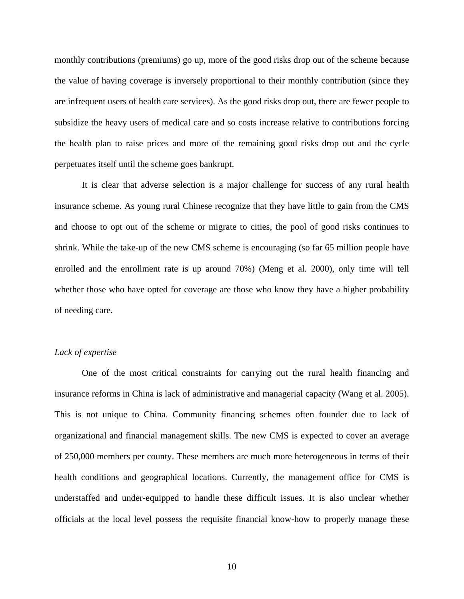monthly contributions (premiums) go up, more of the good risks drop out of the scheme because the value of having coverage is inversely proportional to their monthly contribution (since they are infrequent users of health care services). As the good risks drop out, there are fewer people to subsidize the heavy users of medical care and so costs increase relative to contributions forcing the health plan to raise prices and more of the remaining good risks drop out and the cycle perpetuates itself until the scheme goes bankrupt.

It is clear that adverse selection is a major challenge for success of any rural health insurance scheme. As young rural Chinese recognize that they have little to gain from the CMS and choose to opt out of the scheme or migrate to cities, the pool of good risks continues to shrink. While the take-up of the new CMS scheme is encouraging (so far 65 million people have enrolled and the enrollment rate is up around 70%) (Meng et al. 2000), only time will tell whether those who have opted for coverage are those who know they have a higher probability of needing care.

# *Lack of expertise*

One of the most critical constraints for carrying out the rural health financing and insurance reforms in China is lack of administrative and managerial capacity (Wang et al. 2005). This is not unique to China. Community financing schemes often founder due to lack of organizational and financial management skills. The new CMS is expected to cover an average of 250,000 members per county. These members are much more heterogeneous in terms of their health conditions and geographical locations. Currently, the management office for CMS is understaffed and under-equipped to handle these difficult issues. It is also unclear whether officials at the local level possess the requisite financial know-how to properly manage these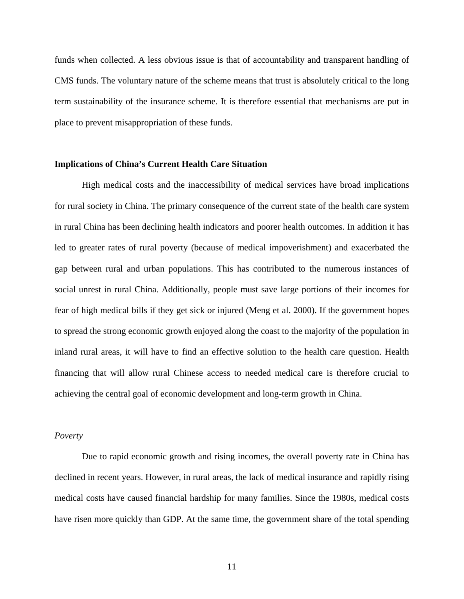funds when collected. A less obvious issue is that of accountability and transparent handling of CMS funds. The voluntary nature of the scheme means that trust is absolutely critical to the long term sustainability of the insurance scheme. It is therefore essential that mechanisms are put in place to prevent misappropriation of these funds.

#### **Implications of China's Current Health Care Situation**

High medical costs and the inaccessibility of medical services have broad implications for rural society in China. The primary consequence of the current state of the health care system in rural China has been declining health indicators and poorer health outcomes. In addition it has led to greater rates of rural poverty (because of medical impoverishment) and exacerbated the gap between rural and urban populations. This has contributed to the numerous instances of social unrest in rural China. Additionally, people must save large portions of their incomes for fear of high medical bills if they get sick or injured (Meng et al. 2000). If the government hopes to spread the strong economic growth enjoyed along the coast to the majority of the population in inland rural areas, it will have to find an effective solution to the health care question. Health financing that will allow rural Chinese access to needed medical care is therefore crucial to achieving the central goal of economic development and long-term growth in China.

#### *Poverty*

 Due to rapid economic growth and rising incomes, the overall poverty rate in China has declined in recent years. However, in rural areas, the lack of medical insurance and rapidly rising medical costs have caused financial hardship for many families. Since the 1980s, medical costs have risen more quickly than GDP. At the same time, the government share of the total spending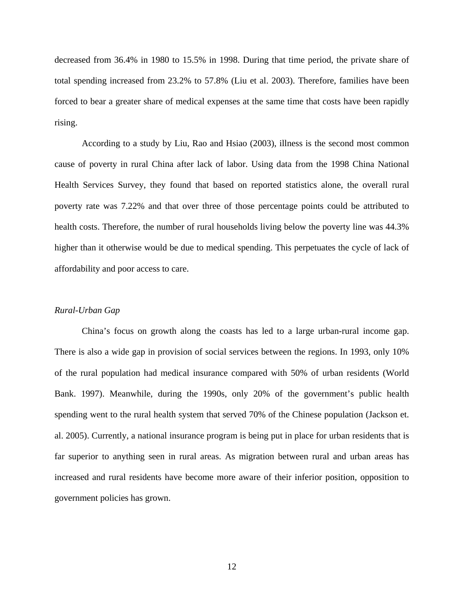decreased from 36.4% in 1980 to 15.5% in 1998. During that time period, the private share of total spending increased from 23.2% to 57.8% (Liu et al. 2003). Therefore, families have been forced to bear a greater share of medical expenses at the same time that costs have been rapidly rising.

 According to a study by Liu, Rao and Hsiao (2003), illness is the second most common cause of poverty in rural China after lack of labor. Using data from the 1998 China National Health Services Survey, they found that based on reported statistics alone, the overall rural poverty rate was 7.22% and that over three of those percentage points could be attributed to health costs. Therefore, the number of rural households living below the poverty line was  $44.3\%$ higher than it otherwise would be due to medical spending. This perpetuates the cycle of lack of affordability and poor access to care.

#### *Rural-Urban Gap*

 China's focus on growth along the coasts has led to a large urban-rural income gap. There is also a wide gap in provision of social services between the regions. In 1993, only 10% of the rural population had medical insurance compared with 50% of urban residents (World Bank. 1997). Meanwhile, during the 1990s, only 20% of the government's public health spending went to the rural health system that served 70% of the Chinese population (Jackson et. al. 2005). Currently, a national insurance program is being put in place for urban residents that is far superior to anything seen in rural areas. As migration between rural and urban areas has increased and rural residents have become more aware of their inferior position, opposition to government policies has grown.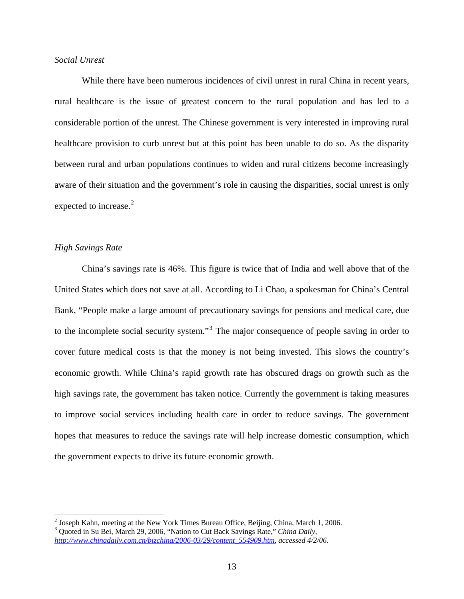# *Social Unrest*

 While there have been numerous incidences of civil unrest in rural China in recent years, rural healthcare is the issue of greatest concern to the rural population and has led to a considerable portion of the unrest. The Chinese government is very interested in improving rural healthcare provision to curb unrest but at this point has been unable to do so. As the disparity between rural and urban populations continues to widen and rural citizens become increasingly aware of their situation and the government's role in causing the disparities, social unrest is only expected to increase.<sup>[2](#page-12-0)</sup>

# *High Savings Rate*

 $\overline{a}$ 

 China's savings rate is 46%. This figure is twice that of India and well above that of the United States which does not save at all. According to Li Chao, a spokesman for China's Central Bank, "People make a large amount of precautionary savings for pensions and medical care, due to the incomplete social security system."<sup>[3](#page-12-1)</sup> The major consequence of people saving in order to cover future medical costs is that the money is not being invested. This slows the country's economic growth. While China's rapid growth rate has obscured drags on growth such as the high savings rate, the government has taken notice. Currently the government is taking measures to improve social services including health care in order to reduce savings. The government hopes that measures to reduce the savings rate will help increase domestic consumption, which the government expects to drive its future economic growth.

<span id="page-12-0"></span><sup>&</sup>lt;sup>2</sup> Joseph Kahn, meeting at the New York Times Bureau Office, Beijing, China, March 1, 2006.<br><sup>3</sup> Quoted in Su Bei, March 20, 2006. "Nation to Cut Beek Sevings Bets." China Daily.

<span id="page-12-1"></span>Quoted in Su Bei, March 29, 2006, "Nation to Cut Back Savings Rate," *China Daily, [http://www.chinadaily.com.cn/bizchina/2006-03/29/content\\_554909.htm,](http://www.chinadaily.com.cn/bizchina/2006-03/29/content_554909.htm) accessed 4/2/06.*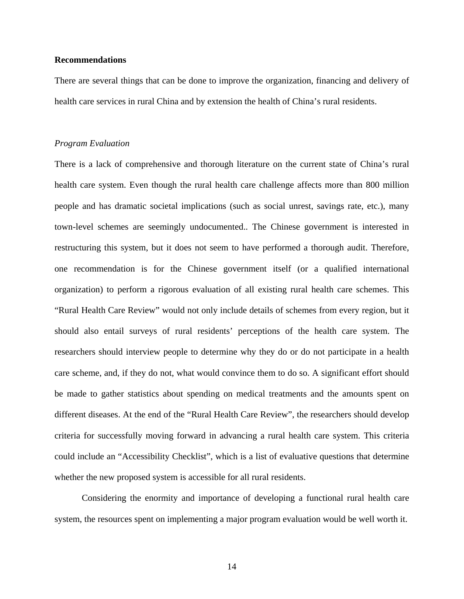### **Recommendations**

There are several things that can be done to improve the organization, financing and delivery of health care services in rural China and by extension the health of China's rural residents.

#### *Program Evaluation*

There is a lack of comprehensive and thorough literature on the current state of China's rural health care system. Even though the rural health care challenge affects more than 800 million people and has dramatic societal implications (such as social unrest, savings rate, etc.), many town-level schemes are seemingly undocumented.. The Chinese government is interested in restructuring this system, but it does not seem to have performed a thorough audit. Therefore, one recommendation is for the Chinese government itself (or a qualified international organization) to perform a rigorous evaluation of all existing rural health care schemes. This "Rural Health Care Review" would not only include details of schemes from every region, but it should also entail surveys of rural residents' perceptions of the health care system. The researchers should interview people to determine why they do or do not participate in a health care scheme, and, if they do not, what would convince them to do so. A significant effort should be made to gather statistics about spending on medical treatments and the amounts spent on different diseases. At the end of the "Rural Health Care Review", the researchers should develop criteria for successfully moving forward in advancing a rural health care system. This criteria could include an "Accessibility Checklist", which is a list of evaluative questions that determine whether the new proposed system is accessible for all rural residents.

 Considering the enormity and importance of developing a functional rural health care system, the resources spent on implementing a major program evaluation would be well worth it.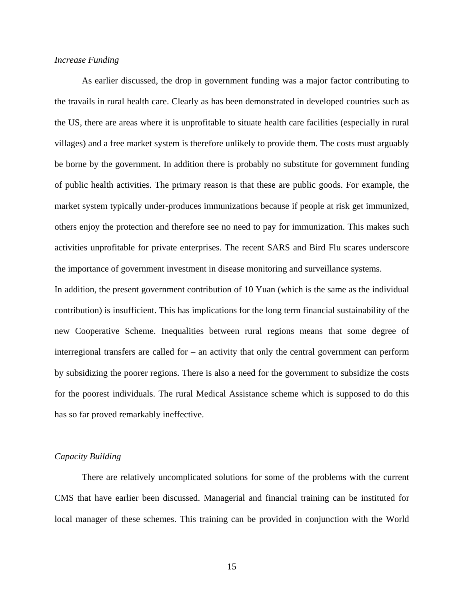#### *Increase Funding*

As earlier discussed, the drop in government funding was a major factor contributing to the travails in rural health care. Clearly as has been demonstrated in developed countries such as the US, there are areas where it is unprofitable to situate health care facilities (especially in rural villages) and a free market system is therefore unlikely to provide them. The costs must arguably be borne by the government. In addition there is probably no substitute for government funding of public health activities. The primary reason is that these are public goods. For example, the market system typically under-produces immunizations because if people at risk get immunized, others enjoy the protection and therefore see no need to pay for immunization. This makes such activities unprofitable for private enterprises. The recent SARS and Bird Flu scares underscore the importance of government investment in disease monitoring and surveillance systems.

In addition, the present government contribution of 10 Yuan (which is the same as the individual contribution) is insufficient. This has implications for the long term financial sustainability of the new Cooperative Scheme. Inequalities between rural regions means that some degree of interregional transfers are called for – an activity that only the central government can perform by subsidizing the poorer regions. There is also a need for the government to subsidize the costs for the poorest individuals. The rural Medical Assistance scheme which is supposed to do this has so far proved remarkably ineffective.

#### *Capacity Building*

There are relatively uncomplicated solutions for some of the problems with the current CMS that have earlier been discussed. Managerial and financial training can be instituted for local manager of these schemes. This training can be provided in conjunction with the World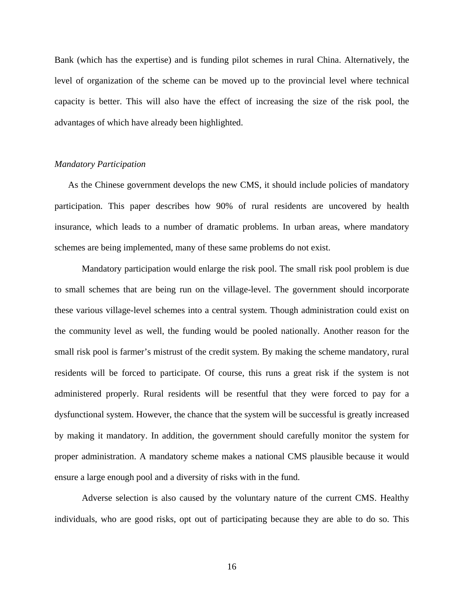Bank (which has the expertise) and is funding pilot schemes in rural China. Alternatively, the level of organization of the scheme can be moved up to the provincial level where technical capacity is better. This will also have the effect of increasing the size of the risk pool, the advantages of which have already been highlighted.

# *Mandatory Participation*

As the Chinese government develops the new CMS, it should include policies of mandatory participation. This paper describes how 90% of rural residents are uncovered by health insurance, which leads to a number of dramatic problems. In urban areas, where mandatory schemes are being implemented, many of these same problems do not exist.

 Mandatory participation would enlarge the risk pool. The small risk pool problem is due to small schemes that are being run on the village-level. The government should incorporate these various village-level schemes into a central system. Though administration could exist on the community level as well, the funding would be pooled nationally. Another reason for the small risk pool is farmer's mistrust of the credit system. By making the scheme mandatory, rural residents will be forced to participate. Of course, this runs a great risk if the system is not administered properly. Rural residents will be resentful that they were forced to pay for a dysfunctional system. However, the chance that the system will be successful is greatly increased by making it mandatory. In addition, the government should carefully monitor the system for proper administration. A mandatory scheme makes a national CMS plausible because it would ensure a large enough pool and a diversity of risks with in the fund.

 Adverse selection is also caused by the voluntary nature of the current CMS. Healthy individuals, who are good risks, opt out of participating because they are able to do so. This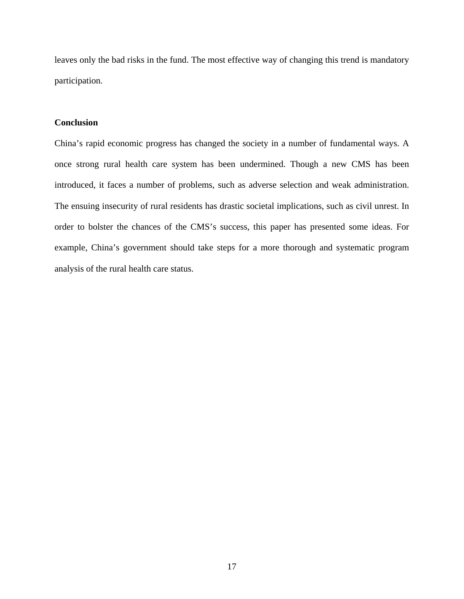leaves only the bad risks in the fund. The most effective way of changing this trend is mandatory participation.

# **Conclusion**

China's rapid economic progress has changed the society in a number of fundamental ways. A once strong rural health care system has been undermined. Though a new CMS has been introduced, it faces a number of problems, such as adverse selection and weak administration. The ensuing insecurity of rural residents has drastic societal implications, such as civil unrest. In order to bolster the chances of the CMS's success, this paper has presented some ideas. For example, China's government should take steps for a more thorough and systematic program analysis of the rural health care status.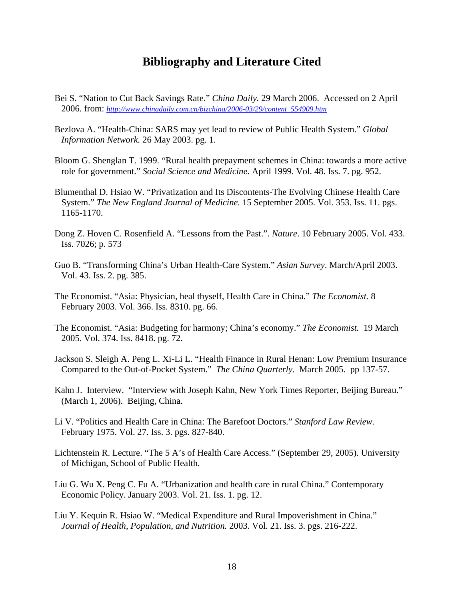# **Bibliography and Literature Cited**

- Bei S. "Nation to Cut Back Savings Rate." *China Daily.* 29 March 2006. Accessed on 2 April 2006. from: *[http://www.chinadaily.com.cn/bizchina/2006-03/29/content\\_554909.htm](http://www.chinadaily.com.cn/bizchina/2006-03/29/content_554909.htm)*
- Bezlova A. "Health-China: SARS may yet lead to review of Public Health System." *Global Information Network.* 26 May 2003. pg. 1.
- Bloom G. Shenglan T. 1999. "Rural health prepayment schemes in China: towards a more active role for government." *Social Science and Medicine.* April 1999. Vol. 48. Iss. 7. pg. 952.
- Blumenthal D. Hsiao W. "Privatization and Its Discontents-The Evolving Chinese Health Care System." *The New England Journal of Medicine.* 15 September 2005. Vol. 353. Iss. 11. pgs. 1165-1170.
- Dong Z. Hoven C. Rosenfield A. "Lessons from the Past.". *Nature*. 10 February 2005. Vol. 433. Iss. 7026; p. 573
- Guo B. "Transforming China's Urban Health-Care System." *Asian Survey*. March/April 2003. Vol. 43. Iss. 2. pg. 385.
- The Economist. "Asia: Physician, heal thyself, Health Care in China." *The Economist.* 8 February 2003. Vol. 366. Iss. 8310. pg. 66.
- The Economist. "Asia: Budgeting for harmony; China's economy." *The Economist.* 19 March 2005. Vol. 374. Iss. 8418. pg. 72.
- Jackson S. Sleigh A. Peng L. Xi-Li L. "Health Finance in Rural Henan: Low Premium Insurance Compared to the Out-of-Pocket System." *The China Quarterly.* March 2005. pp 137-57.
- Kahn J. Interview. "Interview with Joseph Kahn, New York Times Reporter, Beijing Bureau." (March 1, 2006). Beijing, China.
- Li V. "Politics and Health Care in China: The Barefoot Doctors." *Stanford Law Review.*  February 1975. Vol. 27. Iss. 3. pgs. 827-840.
- Lichtenstein R. Lecture. "The 5 A's of Health Care Access." (September 29, 2005). University of Michigan, School of Public Health.
- Liu G. Wu X. Peng C. Fu A. "Urbanization and health care in rural China." Contemporary Economic Policy. January 2003. Vol. 21. Iss. 1. pg. 12.
- Liu Y. Kequin R. Hsiao W. "Medical Expenditure and Rural Impoverishment in China." *Journal of Health, Population, and Nutrition.* 2003. Vol. 21. Iss. 3. pgs. 216-222.